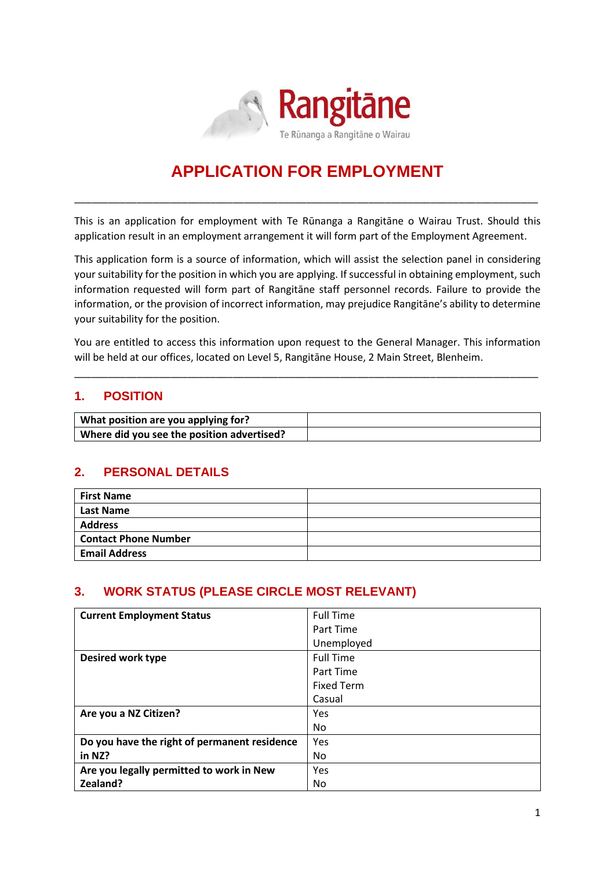

# **APPLICATION FOR EMPLOYMENT**

\_\_\_\_\_\_\_\_\_\_\_\_\_\_\_\_\_\_\_\_\_\_\_\_\_\_\_\_\_\_\_\_\_\_\_\_\_\_\_\_\_\_\_\_\_\_\_\_\_\_\_\_\_\_\_\_\_\_\_\_\_\_\_\_\_\_\_\_\_\_\_\_\_\_\_\_\_\_\_\_\_\_

This is an application for employment with Te Rūnanga a Rangitāne o Wairau Trust. Should this application result in an employment arrangement it will form part of the Employment Agreement.

This application form is a source of information, which will assist the selection panel in considering your suitability for the position in which you are applying. If successful in obtaining employment, such information requested will form part of Rangitāne staff personnel records. Failure to provide the information, or the provision of incorrect information, may prejudice Rangitāne's ability to determine your suitability for the position.

You are entitled to access this information upon request to the General Manager. This information will be held at our offices, located on Level 5, Rangitāne House, 2 Main Street, Blenheim.

\_\_\_\_\_\_\_\_\_\_\_\_\_\_\_\_\_\_\_\_\_\_\_\_\_\_\_\_\_\_\_\_\_\_\_\_\_\_\_\_\_\_\_\_\_\_\_\_\_\_\_\_\_\_\_\_\_\_\_\_\_\_\_\_\_\_\_\_\_\_\_\_\_\_\_\_\_\_\_\_\_\_

## **1. POSITION**

| What position are you applying for?        |  |
|--------------------------------------------|--|
| Where did you see the position advertised? |  |

## **2. PERSONAL DETAILS**

| <b>First Name</b>           |  |
|-----------------------------|--|
| <b>Last Name</b>            |  |
| <b>Address</b>              |  |
| <b>Contact Phone Number</b> |  |
| <b>Email Address</b>        |  |

## **3. WORK STATUS (PLEASE CIRCLE MOST RELEVANT)**

| <b>Current Employment Status</b>             | <b>Full Time</b>  |
|----------------------------------------------|-------------------|
|                                              | Part Time         |
|                                              | Unemployed        |
| Desired work type                            | <b>Full Time</b>  |
|                                              | Part Time         |
|                                              | <b>Fixed Term</b> |
|                                              | Casual            |
| Are you a NZ Citizen?                        | Yes               |
|                                              | No.               |
| Do you have the right of permanent residence | Yes               |
| in NZ?                                       | No.               |
| Are you legally permitted to work in New     | Yes               |
| Zealand?                                     | No.               |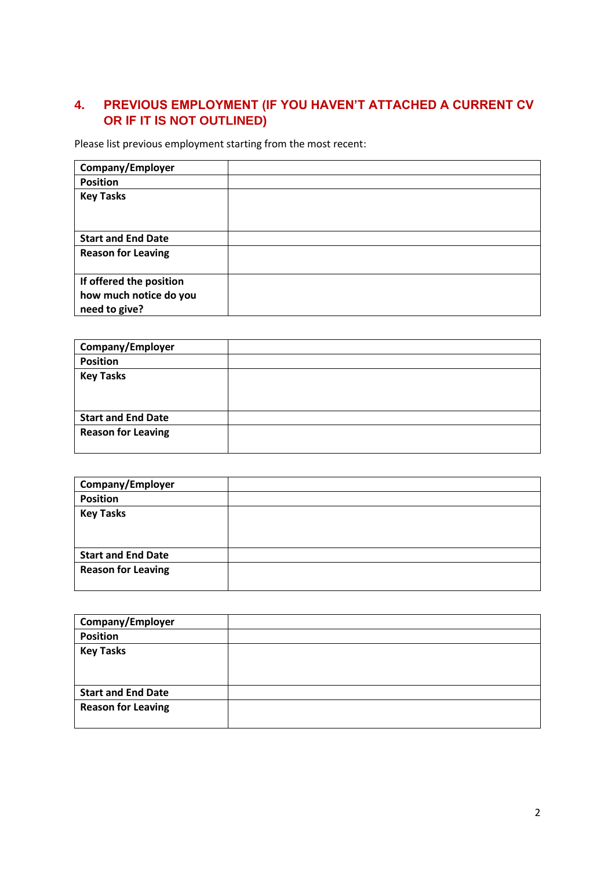# **4. PREVIOUS EMPLOYMENT (IF YOU HAVEN'T ATTACHED A CURRENT CV OR IF IT IS NOT OUTLINED)**

Please list previous employment starting from the most recent:

| Company/Employer          |  |
|---------------------------|--|
| <b>Position</b>           |  |
| <b>Key Tasks</b>          |  |
|                           |  |
| <b>Start and End Date</b> |  |
| <b>Reason for Leaving</b> |  |
|                           |  |
| If offered the position   |  |
| how much notice do you    |  |
| need to give?             |  |

| Company/Employer          |  |
|---------------------------|--|
| <b>Position</b>           |  |
| <b>Key Tasks</b>          |  |
| <b>Start and End Date</b> |  |
| <b>Reason for Leaving</b> |  |

| Company/Employer          |  |
|---------------------------|--|
| <b>Position</b>           |  |
| <b>Key Tasks</b>          |  |
|                           |  |
|                           |  |
| <b>Start and End Date</b> |  |
| <b>Reason for Leaving</b> |  |
|                           |  |
|                           |  |

| Company/Employer          |  |
|---------------------------|--|
| <b>Position</b>           |  |
| <b>Key Tasks</b>          |  |
|                           |  |
|                           |  |
| <b>Start and End Date</b> |  |
| <b>Reason for Leaving</b> |  |
|                           |  |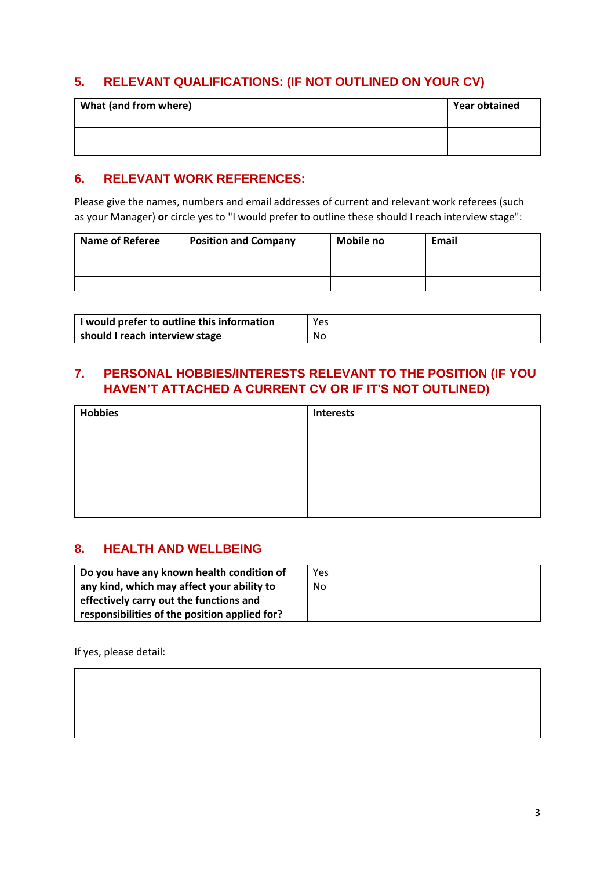# **5. RELEVANT QUALIFICATIONS: (IF NOT OUTLINED ON YOUR CV)**

| What (and from where) | <b>Year obtained</b> |
|-----------------------|----------------------|
|                       |                      |
|                       |                      |
|                       |                      |

## **6. RELEVANT WORK REFERENCES:**

Please give the names, numbers and email addresses of current and relevant work referees (such as your Manager) **or** circle yes to "I would prefer to outline these should I reach interview stage":

| <b>Name of Referee</b> | <b>Position and Company</b> | Mobile no | <b>Email</b> |
|------------------------|-----------------------------|-----------|--------------|
|                        |                             |           |              |
|                        |                             |           |              |
|                        |                             |           |              |

| I would prefer to outline this information | Yes |
|--------------------------------------------|-----|
| should I reach interview stage             | No  |

## **7. PERSONAL HOBBIES/INTERESTS RELEVANT TO THE POSITION (IF YOU HAVEN'T ATTACHED A CURRENT CV OR IF IT'S NOT OUTLINED)**

| <b>Hobbies</b> | <b>Interests</b> |
|----------------|------------------|
|                |                  |
|                |                  |
|                |                  |
|                |                  |
|                |                  |
|                |                  |
|                |                  |

## **8. HEALTH AND WELLBEING**

| Do you have any known health condition of     | Yes |
|-----------------------------------------------|-----|
| any kind, which may affect your ability to    | No. |
| effectively carry out the functions and       |     |
| responsibilities of the position applied for? |     |

If yes, please detail: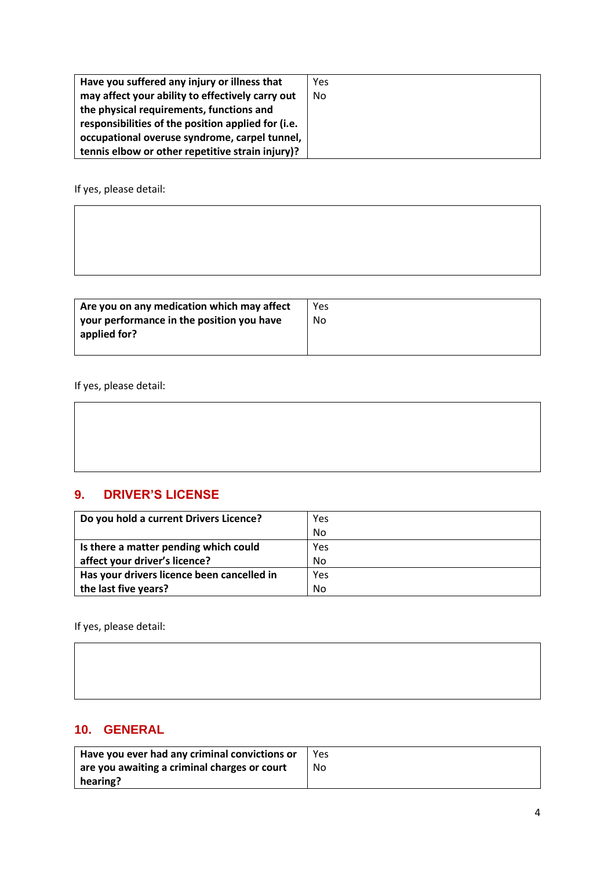| Have you suffered any injury or illness that       | Yes |
|----------------------------------------------------|-----|
| may affect your ability to effectively carry out   | No  |
| the physical requirements, functions and           |     |
| responsibilities of the position applied for (i.e. |     |
| occupational overuse syndrome, carpel tunnel,      |     |
| tennis elbow or other repetitive strain injury)?   |     |

If yes, please detail:

| Are you on any medication which may affect<br>your performance in the position you have<br>applied for? | <b>Yes</b><br>No |
|---------------------------------------------------------------------------------------------------------|------------------|
|---------------------------------------------------------------------------------------------------------|------------------|

If yes, please detail:

# **9. DRIVER'S LICENSE**

| Do you hold a current Drivers Licence?     | Yes |
|--------------------------------------------|-----|
|                                            | No  |
| Is there a matter pending which could      | Yes |
| affect your driver's licence?              | No  |
| Has your drivers licence been cancelled in | Yes |
| the last five years?                       | No  |

If yes, please detail:

# **10. GENERAL**

| Have you ever had any criminal convictions or        | Yes |
|------------------------------------------------------|-----|
| $\vert$ are you awaiting a criminal charges or court | No. |
| hearing?                                             |     |